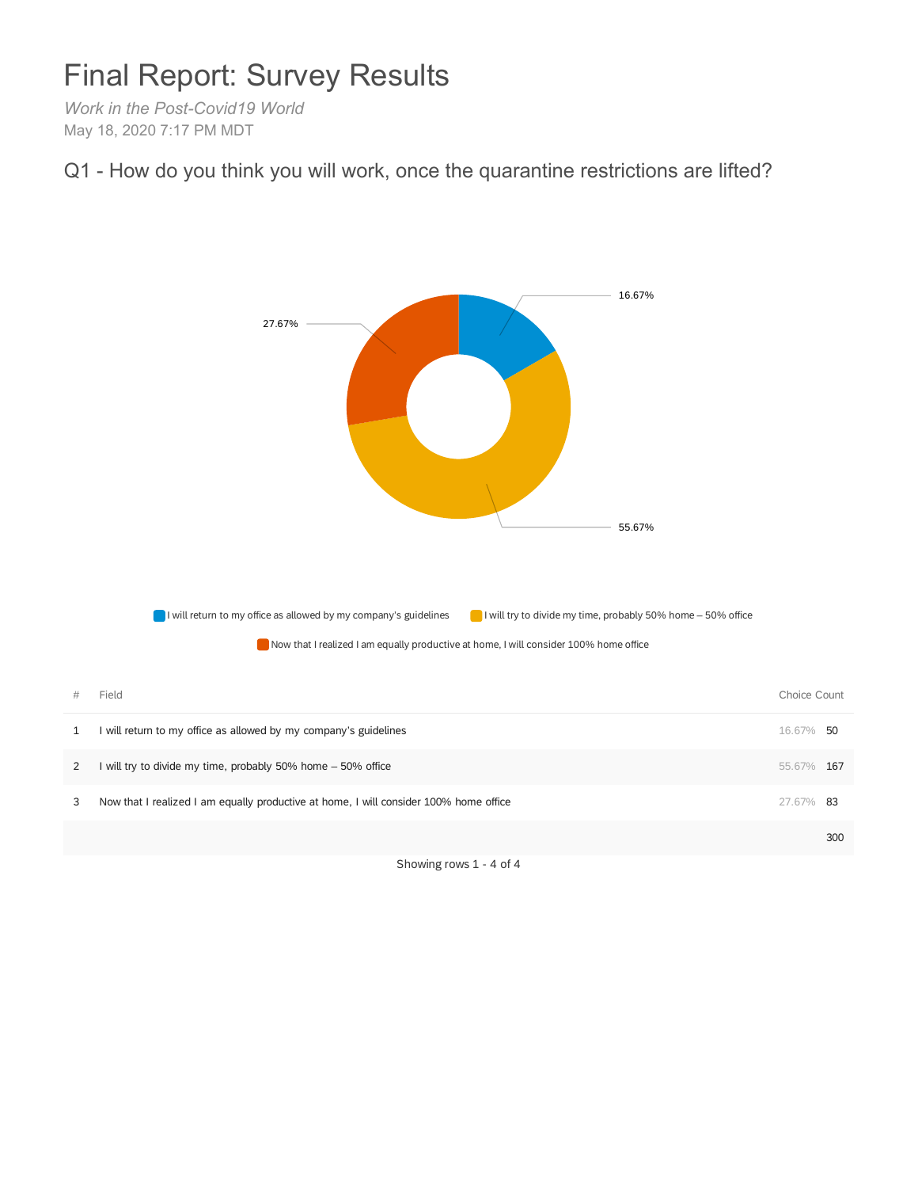## Final Report: Survey Results

*Work in the Post-Covid19 World* May 18, 2020 7:17 PM MDT





Showing rows 1 - 4 of 4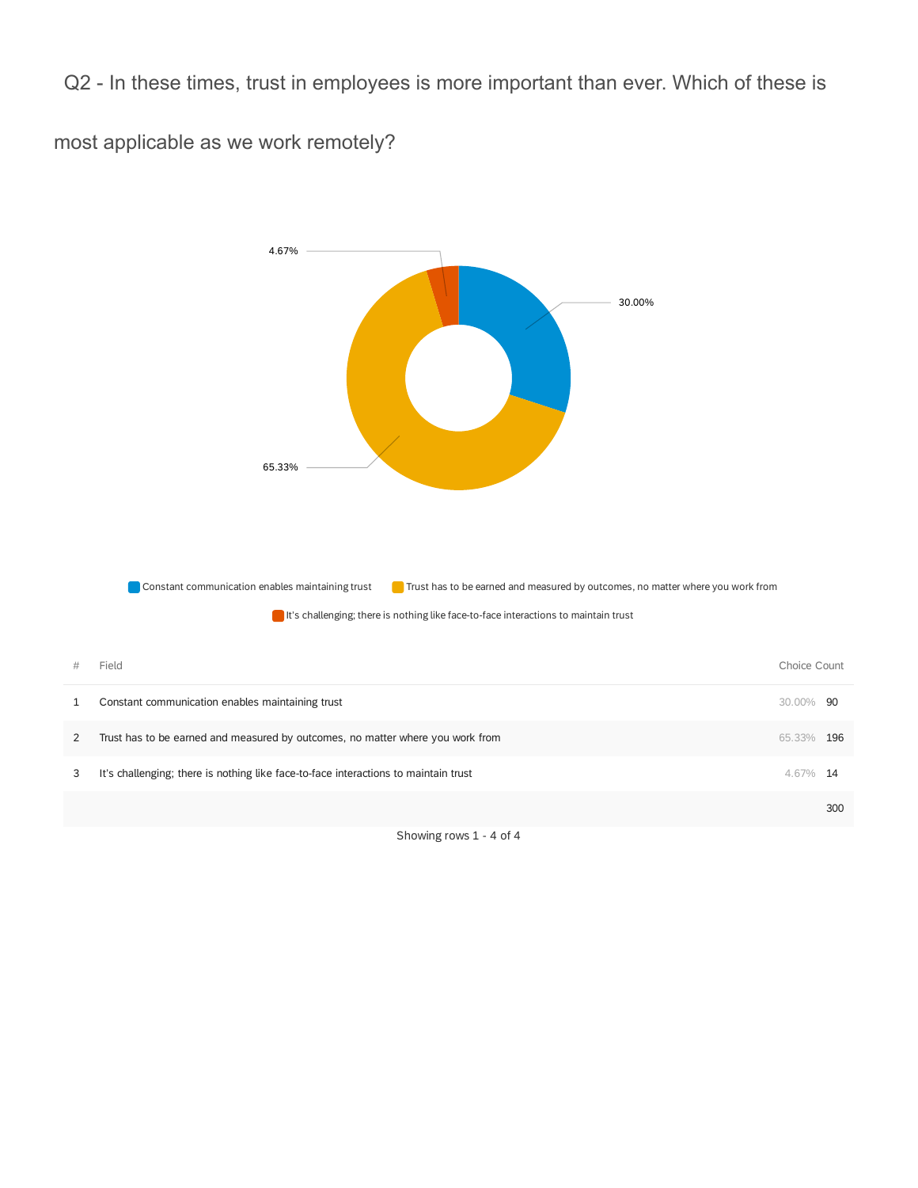Q2 - In these times, trust in employees is more important than ever. Which of these is

most applicable as we work remotely?



Showing rows 1 - 4 of 4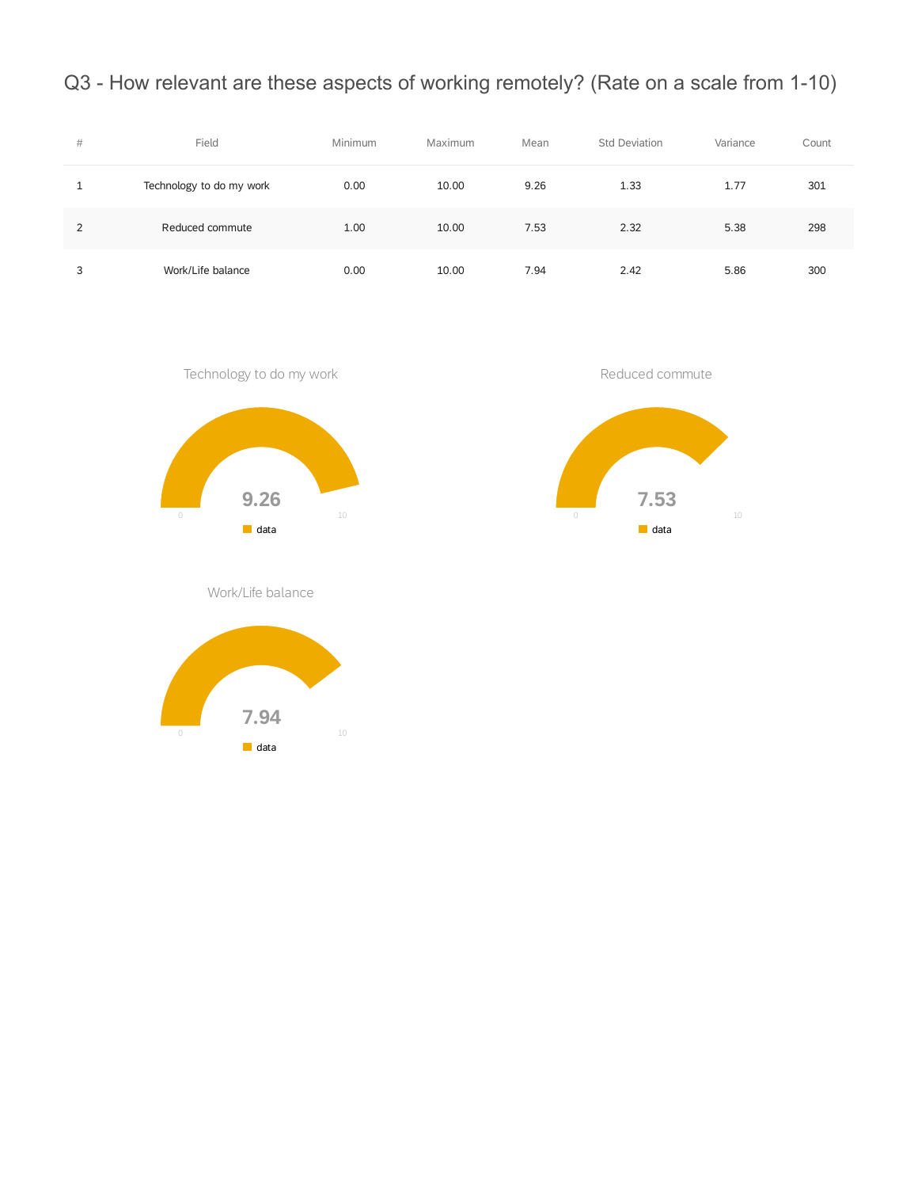Q3 - How relevant are these aspects of working remotely? (Rate on a scale from 1-10)

| # | Field                    | Minimum | Maximum | Mean | <b>Std Deviation</b> | Variance | Count |
|---|--------------------------|---------|---------|------|----------------------|----------|-------|
|   | Technology to do my work | 0.00    | 10.00   | 9.26 | 1.33                 | 1.77     | 301   |
| 2 | Reduced commute          | 1.00    | 10.00   | 7.53 | 2.32                 | 5.38     | 298   |
| 3 | Work/Life balance        | 0.00    | 10.00   | 7.94 | 2.42                 | 5.86     | 300   |



Work/Life balance